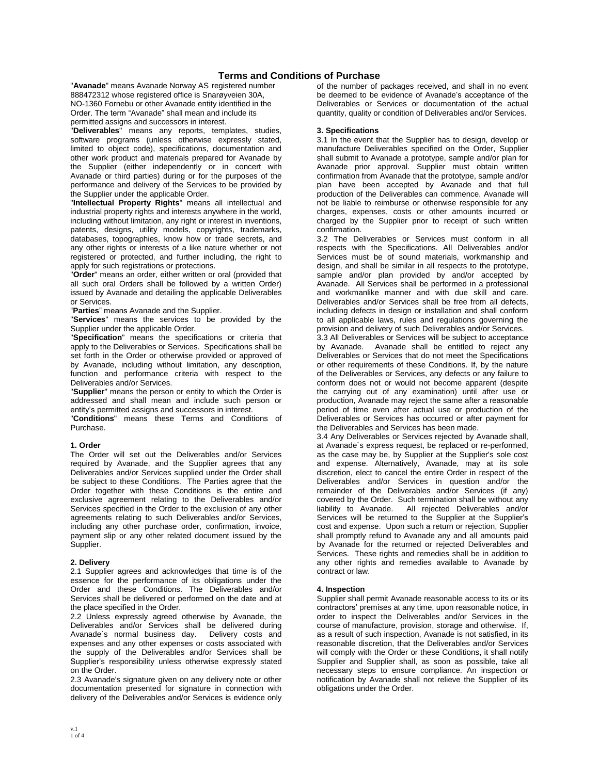# **Terms and Conditions of Purchase**

"**Avanade**" means Avanade Norway AS registered number 888472312 whose registered office is Snarøyveien 30A, NO-1360 Fornebu or other Avanade entity identified in the Order. The term "Avanade" shall mean and include its permitted assigns and successors in interest.

"**Deliverables**" means any reports, templates, studies, software programs (unless otherwise expressly stated, limited to object code), specifications, documentation and other work product and materials prepared for Avanade by the Supplier (either independently or in concert with Avanade or third parties) during or for the purposes of the performance and delivery of the Services to be provided by the Supplier under the applicable Order.

"**Intellectual Property Rights**" means all intellectual and industrial property rights and interests anywhere in the world, including without limitation, any right or interest in inventions, patents, designs, utility models, copyrights, trademarks, databases, topographies, know how or trade secrets, and any other rights or interests of a like nature whether or not registered or protected, and further including, the right to apply for such registrations or protections.

"**Order**" means an order, either written or oral (provided that all such oral Orders shall be followed by a written Order) issued by Avanade and detailing the applicable Deliverables or Services.

"**Parties**" means Avanade and the Supplier.

"**Services**" means the services to be provided by the Supplier under the applicable Order.

"**Specification**" means the specifications or criteria that apply to the Deliverables or Services. Specifications shall be set forth in the Order or otherwise provided or approved of by Avanade, including without limitation, any description, function and performance criteria with respect to the Deliverables and/or Services.

"**Supplier**" means the person or entity to which the Order is addressed and shall mean and include such person or entity's permitted assigns and successors in interest.

"**Conditions**" means these Terms and Conditions of Purchase.

### **1. Order**

The Order will set out the Deliverables and/or Services required by Avanade, and the Supplier agrees that any Deliverables and/or Services supplied under the Order shall be subject to these Conditions. The Parties agree that the Order together with these Conditions is the entire and exclusive agreement relating to the Deliverables and/or Services specified in the Order to the exclusion of any other agreements relating to such Deliverables and/or Services, including any other purchase order, confirmation, invoice, payment slip or any other related document issued by the Supplier.

### **2. Delivery**

2.1 Supplier agrees and acknowledges that time is of the essence for the performance of its obligations under the Order and these Conditions. The Deliverables and/or Services shall be delivered or performed on the date and at the place specified in the Order.

2.2 Unless expressly agreed otherwise by Avanade, the Deliverables and/or Services shall be delivered during<br>Avanade`s normal business day. Delivery costs and Avanade's normal business day. expenses and any other expenses or costs associated with the supply of the Deliverables and/or Services shall be Supplier's responsibility unless otherwise expressly stated on the Order.

2.3 Avanade's signature given on any delivery note or other documentation presented for signature in connection with delivery of the Deliverables and/or Services is evidence only

of the number of packages received, and shall in no event be deemed to be evidence of Avanade's acceptance of the Deliverables or Services or documentation of the actual quantity, quality or condition of Deliverables and/or Services.

# **3. Specifications**

3.1 In the event that the Supplier has to design, develop or manufacture Deliverables specified on the Order, Supplier shall submit to Avanade a prototype, sample and/or plan for Avanade prior approval. Supplier must obtain written confirmation from Avanade that the prototype, sample and/or plan have been accepted by Avanade and that full production of the Deliverables can commence. Avanade will not be liable to reimburse or otherwise responsible for any charges, expenses, costs or other amounts incurred or charged by the Supplier prior to receipt of such written confirmation.

3.2 The Deliverables or Services must conform in all respects with the Specifications. All Deliverables and/or Services must be of sound materials, workmanship and design, and shall be similar in all respects to the prototype, sample and/or plan provided by and/or accepted by Avanade. All Services shall be performed in a professional and workmanlike manner and with due skill and care. Deliverables and/or Services shall be free from all defects, including defects in design or installation and shall conform to all applicable laws, rules and regulations governing the provision and delivery of such Deliverables and/or Services.

3.3 All Deliverables or Services will be subject to acceptance Avanade shall be entitled to reject any Deliverables or Services that do not meet the Specifications or other requirements of these Conditions. If, by the nature of the Deliverables or Services, any defects or any failure to conform does not or would not become apparent (despite the carrying out of any examination) until after use or production, Avanade may reject the same after a reasonable period of time even after actual use or production of the Deliverables or Services has occurred or after payment for the Deliverables and Services has been made.

3.4 Any Deliverables or Services rejected by Avanade shall, at Avanade`s express request, be replaced or re-performed, as the case may be, by Supplier at the Supplier's sole cost and expense. Alternatively, Avanade, may at its sole discretion, elect to cancel the entire Order in respect of the Deliverables and/or Services in question and/or the remainder of the Deliverables and/or Services (if any) covered by the Order. Such termination shall be without any liability to Avanade. All rejected Deliverables and/or Services will be returned to the Supplier at the Supplier's cost and expense. Upon such a return or rejection, Supplier shall promptly refund to Avanade any and all amounts paid by Avanade for the returned or rejected Deliverables and Services. These rights and remedies shall be in addition to any other rights and remedies available to Avanade by contract or law.

### **4. Inspection**

Supplier shall permit Avanade reasonable access to its or its contractors' premises at any time, upon reasonable notice, in order to inspect the Deliverables and/or Services in the course of manufacture, provision, storage and otherwise. If, as a result of such inspection, Avanade is not satisfied, in its reasonable discretion, that the Deliverables and/or Services will comply with the Order or these Conditions, it shall notify Supplier and Supplier shall, as soon as possible, take all necessary steps to ensure compliance. An inspection or notification by Avanade shall not relieve the Supplier of its obligations under the Order.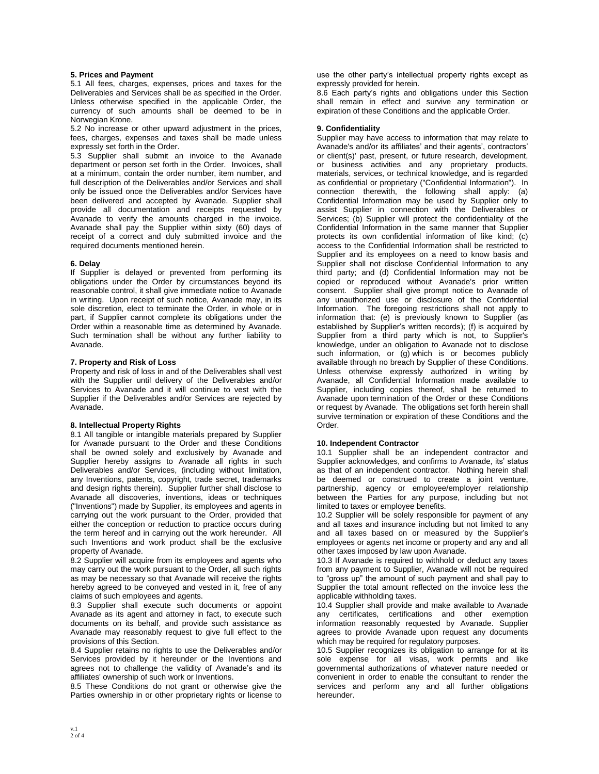### **5. Prices and Payment**

5.1 All fees, charges, expenses, prices and taxes for the Deliverables and Services shall be as specified in the Order. Unless otherwise specified in the applicable Order, the currency of such amounts shall be deemed to be in Norwegian Krone.

5.2 No increase or other upward adjustment in the prices, fees, charges, expenses and taxes shall be made unless expressly set forth in the Order.

5.3 Supplier shall submit an invoice to the Avanade department or person set forth in the Order. Invoices, shall at a minimum, contain the order number, item number, and full description of the Deliverables and/or Services and shall only be issued once the Deliverables and/or Services have been delivered and accepted by Avanade. Supplier shall provide all documentation and receipts requested by Avanade to verify the amounts charged in the invoice. Avanade shall pay the Supplier within sixty (60) days of receipt of a correct and duly submitted invoice and the required documents mentioned herein.

### **6. Delay**

If Supplier is delayed or prevented from performing its obligations under the Order by circumstances beyond its reasonable control, it shall give immediate notice to Avanade in writing. Upon receipt of such notice, Avanade may, in its sole discretion, elect to terminate the Order, in whole or in part, if Supplier cannot complete its obligations under the Order within a reasonable time as determined by Avanade. Such termination shall be without any further liability to Avanade.

### **7. Property and Risk of Loss**

Property and risk of loss in and of the Deliverables shall vest with the Supplier until delivery of the Deliverables and/or Services to Avanade and it will continue to vest with the Supplier if the Deliverables and/or Services are rejected by Avanade.

# **8. Intellectual Property Rights**

8.1 All tangible or intangible materials prepared by Supplier for Avanade pursuant to the Order and these Conditions shall be owned solely and exclusively by Avanade and Supplier hereby assigns to Avanade all rights in such Deliverables and/or Services, (including without limitation, any Inventions, patents, copyright, trade secret, trademarks and design rights therein). Supplier further shall disclose to Avanade all discoveries, inventions, ideas or techniques ("Inventions") made by Supplier, its employees and agents in carrying out the work pursuant to the Order, provided that either the conception or reduction to practice occurs during the term hereof and in carrying out the work hereunder. All such Inventions and work product shall be the exclusive property of Avanade.

8.2 Supplier will acquire from its employees and agents who may carry out the work pursuant to the Order, all such rights as may be necessary so that Avanade will receive the rights hereby agreed to be conveyed and vested in it, free of any claims of such employees and agents.

8.3 Supplier shall execute such documents or appoint Avanade as its agent and attorney in fact, to execute such documents on its behalf, and provide such assistance as Avanade may reasonably request to give full effect to the provisions of this Section.

8.4 Supplier retains no rights to use the Deliverables and/or Services provided by it hereunder or the Inventions and agrees not to challenge the validity of Avanade's and its affiliates' ownership of such work or Inventions.

8.5 These Conditions do not grant or otherwise give the Parties ownership in or other proprietary rights or license to use the other party's intellectual property rights except as expressly provided for herein.

8.6 Each party's rights and obligations under this Section shall remain in effect and survive any termination or expiration of these Conditions and the applicable Order.

#### **9. Confidentiality**

Supplier may have access to information that may relate to Avanade's and/or its affiliates' and their agents', contractors' or client(s)' past, present, or future research, development, or business activities and any proprietary products, materials, services, or technical knowledge, and is regarded as confidential or proprietary ("Confidential Information"). In connection therewith, the following shall apply: (a) Confidential Information may be used by Supplier only to assist Supplier in connection with the Deliverables or Services; (b) Supplier will protect the confidentiality of the Confidential Information in the same manner that Supplier protects its own confidential information of like kind; (c) access to the Confidential Information shall be restricted to Supplier and its employees on a need to know basis and Supplier shall not disclose Confidential Information to any third party; and (d) Confidential Information may not be copied or reproduced without Avanade's prior written consent. Supplier shall give prompt notice to Avanade of any unauthorized use or disclosure of the Confidential Information. The foregoing restrictions shall not apply to information that: (e) is previously known to Supplier (as established by Supplier's written records); (f) is acquired by Supplier from a third party which is not, to Supplier's knowledge, under an obligation to Avanade not to disclose such information, or (g) which is or becomes publicly available through no breach by Supplier of these Conditions. Unless otherwise expressly authorized in writing by Avanade, all Confidential Information made available to Supplier, including copies thereof, shall be returned to Avanade upon termination of the Order or these Conditions or request by Avanade. The obligations set forth herein shall survive termination or expiration of these Conditions and the Order.

### **10. Independent Contractor**

10.1 Supplier shall be an independent contractor and Supplier acknowledges, and confirms to Avanade, its' status as that of an independent contractor. Nothing herein shall be deemed or construed to create a joint venture, partnership, agency or employee/employer relationship between the Parties for any purpose, including but not limited to taxes or employee benefits.

10.2 Supplier will be solely responsible for payment of any and all taxes and insurance including but not limited to any and all taxes based on or measured by the Supplier's employees or agents net income or property and any and all other taxes imposed by law upon Avanade.

10.3 If Avanade is required to withhold or deduct any taxes from any payment to Supplier, Avanade will not be required to "gross up" the amount of such payment and shall pay to Supplier the total amount reflected on the invoice less the applicable withholding taxes.

10.4 Supplier shall provide and make available to Avanade any certificates, certifications and other exemption information reasonably requested by Avanade. Supplier agrees to provide Avanade upon request any documents which may be required for regulatory purposes.

10.5 Supplier recognizes its obligation to arrange for at its sole expense for all visas, work permits and like governmental authorizations of whatever nature needed or convenient in order to enable the consultant to render the services and perform any and all further obligations hereunder.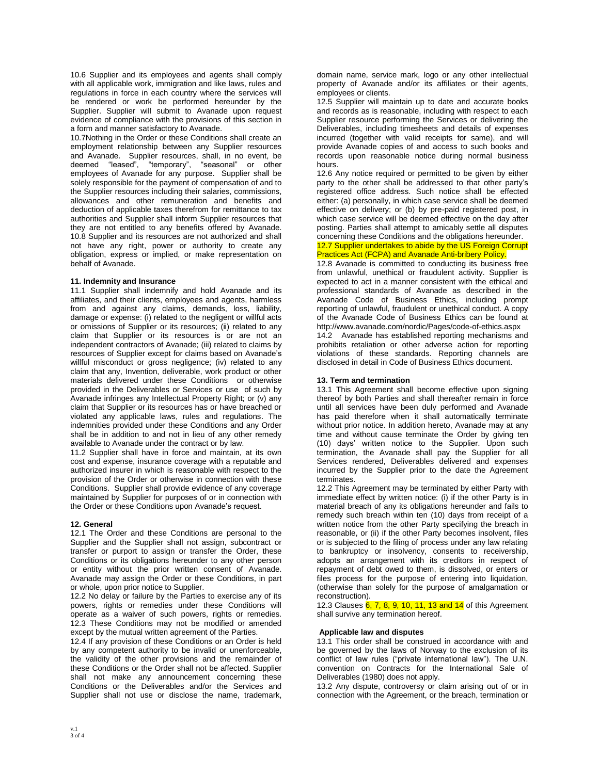10.6 Supplier and its employees and agents shall comply with all applicable work, immigration and like laws, rules and regulations in force in each country where the services will be rendered or work be performed hereunder by the Supplier. Supplier will submit to Avanade upon request evidence of compliance with the provisions of this section in a form and manner satisfactory to Avanade.

10.7Nothing in the Order or these Conditions shall create an employment relationship between any Supplier resources and Avanade. Supplier resources, shall, in no event, be deemed "leased", "temporary", "seasonal" or other employees of Avanade for any purpose. Supplier shall be solely responsible for the payment of compensation of and to the Supplier resources including their salaries, commissions, allowances and other remuneration and benefits and deduction of applicable taxes therefrom for remittance to tax authorities and Supplier shall inform Supplier resources that they are not entitled to any benefits offered by Avanade. 10.8 Supplier and its resources are not authorized and shall not have any right, power or authority to create any obligation, express or implied, or make representation on behalf of Avanade.

## **11. Indemnity and Insurance**

11.1 Supplier shall indemnify and hold Avanade and its affiliates, and their clients, employees and agents, harmless from and against any claims, demands, loss, liability, damage or expense: (i) related to the negligent or willful acts or omissions of Supplier or its resources; (ii) related to any claim that Supplier or its resources is or are not an independent contractors of Avanade; (iii) related to claims by resources of Supplier except for claims based on Avanade's willful misconduct or gross negligence; (iv) related to any claim that any, Invention, deliverable, work product or other materials delivered under these Conditions or otherwise provided in the Deliverables or Services or use of such by Avanade infringes any Intellectual Property Right; or (v) any claim that Supplier or its resources has or have breached or violated any applicable laws, rules and regulations. The indemnities provided under these Conditions and any Order shall be in addition to and not in lieu of any other remedy available to Avanade under the contract or by law.

11.2 Supplier shall have in force and maintain, at its own cost and expense, insurance coverage with a reputable and authorized insurer in which is reasonable with respect to the provision of the Order or otherwise in connection with these Conditions. Supplier shall provide evidence of any coverage maintained by Supplier for purposes of or in connection with the Order or these Conditions upon Avanade's request.

### **12. General**

12.1 The Order and these Conditions are personal to the Supplier and the Supplier shall not assign, subcontract or transfer or purport to assign or transfer the Order, these Conditions or its obligations hereunder to any other person or entity without the prior written consent of Avanade. Avanade may assign the Order or these Conditions, in part or whole, upon prior notice to Supplier.

12.2 No delay or failure by the Parties to exercise any of its powers, rights or remedies under these Conditions will operate as a waiver of such powers, rights or remedies. 12.3 These Conditions may not be modified or amended except by the mutual written agreement of the Parties.

12.4 If any provision of these Conditions or an Order is held by any competent authority to be invalid or unenforceable, the validity of the other provisions and the remainder of these Conditions or the Order shall not be affected. Supplier shall not make any announcement concerning these Conditions or the Deliverables and/or the Services and Supplier shall not use or disclose the name, trademark, domain name, service mark, logo or any other intellectual property of Avanade and/or its affiliates or their agents, employees or clients.

12.5 Supplier will maintain up to date and accurate books and records as is reasonable, including with respect to each Supplier resource performing the Services or delivering the Deliverables, including timesheets and details of expenses incurred (together with valid receipts for same), and will provide Avanade copies of and access to such books and records upon reasonable notice during normal business hours.

12.6 Any notice required or permitted to be given by either party to the other shall be addressed to that other party's registered office address. Such notice shall be effected either: (a) personally, in which case service shall be deemed effective on delivery; or (b) by pre-paid registered post, in which case service will be deemed effective on the day after posting. Parties shall attempt to amicably settle all disputes concerning these Conditions and the obligations hereunder.

# 12.7 Supplier undertakes to abide by the US Foreign Corrupt Practices Act (FCPA) and Avanade Anti-bribery Policy.

12.8 Avanade is committed to conducting its business free from unlawful, unethical or fraudulent activity. Supplier is expected to act in a manner consistent with the ethical and professional standards of Avanade as described in the Avanade Code of Business Ethics, including prompt reporting of unlawful, fraudulent or unethical conduct. A copy of the Avanade Code of Business Ethics can be found at http://www.avanade.com/nordic/Pages/code-of-ethics.aspx

14.2 Avanade has established reporting mechanisms and prohibits retaliation or other adverse action for reporting violations of these standards. Reporting channels are disclosed in detail in Code of Business Ethics document.

# **13. Term and termination**

13.1 This Agreement shall become effective upon signing thereof by both Parties and shall thereafter remain in force until all services have been duly performed and Avanade has paid therefore when it shall automatically terminate without prior notice. In addition hereto, Avanade may at any time and without cause terminate the Order by giving ten (10) days' written notice to the Supplier. Upon such termination, the Avanade shall pay the Supplier for all Services rendered, Deliverables delivered and expenses incurred by the Supplier prior to the date the Agreement terminates.

12.2 This Agreement may be terminated by either Party with immediate effect by written notice: (i) if the other Party is in material breach of any its obligations hereunder and fails to remedy such breach within ten (10) days from receipt of a written notice from the other Party specifying the breach in reasonable, or (ii) if the other Party becomes insolvent, files or is subjected to the filing of process under any law relating to bankruptcy or insolvency, consents to receivership, adopts an arrangement with its creditors in respect of repayment of debt owed to them, is dissolved, or enters or files process for the purpose of entering into liquidation, (otherwise than solely for the purpose of amalgamation or reconstruction).

12.3 Clauses 6, 7, 8, 9, 10, 11, 13 and 14 of this Agreement shall survive any termination hereof.

### **Applicable law and disputes**

13.1 This order shall be construed in accordance with and be governed by the laws of Norway to the exclusion of its conflict of law rules ("private international law"). The U.N. convention on Contracts for the International Sale of Deliverables (1980) does not apply.

13.2 Any dispute, controversy or claim arising out of or in connection with the Agreement, or the breach, termination or